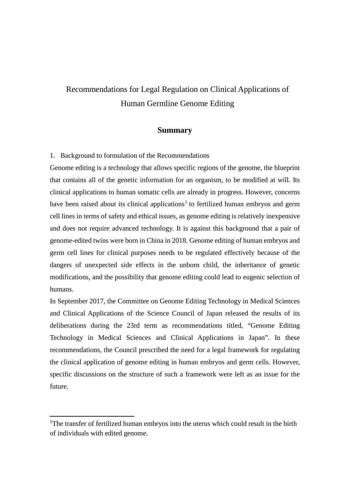# Recommendations for Legal Regulation on Clinical Applications of Human Germline Genome Editing

## **Summary**

1. Background to formulation of the Recommendations

Genome editing is a technology that allows specific regions of the genome, the blueprint that contains all of the genetic information for an organism, to be modified at will. Its clinical applications to human somatic cells are already in progress. However, concerns have been raised about its clinical applications<sup>[1](#page-0-0)</sup> to fertilized human embryos and germ cell lines in terms of safety and ethical issues, as genome editing is relatively inexpensive and does not require advanced technology. It is against this background that a pair of genome-edited twins were born in China in 2018. Genome editing of human embryos and germ cell lines for clinical purposes needs to be regulated effectively because of the dangers of unexpected side effects in the unborn child, the inheritance of genetic modifications, and the possibility that genome editing could lead to eugenic selection of humans.

In September 2017, the Committee on Genome Editing Technology in Medical Sciences and Clinical Applications of the Science Council of Japan released the results of its deliberations during the 23rd term as recommendations titled, "Genome Editing Technology in Medical Sciences and Clinical Applications in Japan". In these recommendations, the Council prescribed the need for a legal framework for regulating the clinical application of genome editing in human embryos and germ cells. However, specific discussions on the structure of such a framework were left as an issue for the future.

 $\overline{a}$ 

<span id="page-0-0"></span><sup>&</sup>lt;sup>1</sup>The transfer of fertilized human embryos into the uterus which could result in the birth of individuals with edited genome.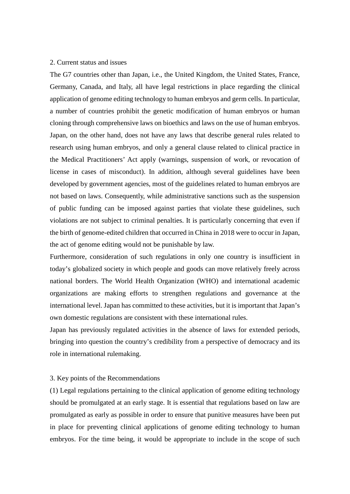#### 2. Current status and issues

The G7 countries other than Japan, i.e., the United Kingdom, the United States, France, Germany, Canada, and Italy, all have legal restrictions in place regarding the clinical application of genome editing technology to human embryos and germ cells. In particular, a number of countries prohibit the genetic modification of human embryos or human cloning through comprehensive laws on bioethics and laws on the use of human embryos. Japan, on the other hand, does not have any laws that describe general rules related to research using human embryos, and only a general clause related to clinical practice in the Medical Practitioners' Act apply (warnings, suspension of work, or revocation of license in cases of misconduct). In addition, although several guidelines have been developed by government agencies, most of the guidelines related to human embryos are not based on laws. Consequently, while administrative sanctions such as the suspension of public funding can be imposed against parties that violate these guidelines, such violations are not subject to criminal penalties. It is particularly concerning that even if the birth of genome-edited children that occurred in China in 2018 were to occur in Japan, the act of genome editing would not be punishable by law.

Furthermore, consideration of such regulations in only one country is insufficient in today's globalized society in which people and goods can move relatively freely across national borders. The World Health Organization (WHO) and international academic organizations are making efforts to strengthen regulations and governance at the international level. Japan has committed to these activities, but it is important that Japan's own domestic regulations are consistent with these international rules.

Japan has previously regulated activities in the absence of laws for extended periods, bringing into question the country's credibility from a perspective of democracy and its role in international rulemaking.

#### 3. Key points of the Recommendations

(1) Legal regulations pertaining to the clinical application of genome editing technology should be promulgated at an early stage. It is essential that regulations based on law are promulgated as early as possible in order to ensure that punitive measures have been put in place for preventing clinical applications of genome editing technology to human embryos. For the time being, it would be appropriate to include in the scope of such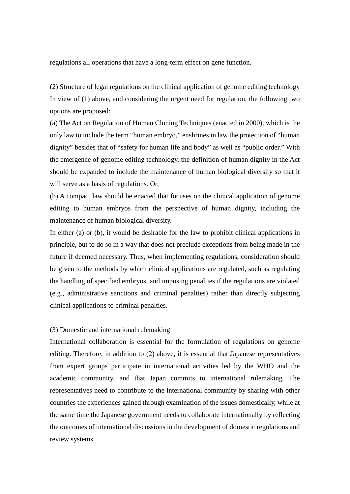regulations all operations that have a long-term effect on gene function.

(2) Structure of legal regulations on the clinical application of genome editing technology In view of (1) above, and considering the urgent need for regulation, the following two options are proposed:

(a) The Act on Regulation of Human Cloning Techniques (enacted in 2000), which is the only law to include the term "human embryo," enshrines in law the protection of "human dignity" besides that of "safety for human life and body" as well as "public order." With the emergence of genome editing technology, the definition of human dignity in the Act should be expanded to include the maintenance of human biological diversity so that it will serve as a basis of regulations. Or,

(b) A compact law should be enacted that focuses on the clinical application of genome editing to human embryos from the perspective of human dignity, including the maintenance of human biological diversity.

In either (a) or (b), it would be desirable for the law to prohibit clinical applications in principle, but to do so in a way that does not preclude exceptions from being made in the future if deemed necessary. Thus, when implementing regulations, consideration should be given to the methods by which clinical applications are regulated, such as regulating the handling of specified embryos, and imposing penalties if the regulations are violated (e.g., administrative sanctions and criminal penalties) rather than directly subjecting clinical applications to criminal penalties.

### (3) Domestic and international rulemaking

International collaboration is essential for the formulation of regulations on genome editing. Therefore, in addition to (2) above, it is essential that Japanese representatives from expert groups participate in international activities led by the WHO and the academic community, and that Japan commits to international rulemaking. The representatives need to contribute to the international community by sharing with other countries the experiences gained through examination of the issues domestically, while at the same time the Japanese government needs to collaborate internationally by reflecting the outcomes of international discussions in the development of domestic regulations and review systems.